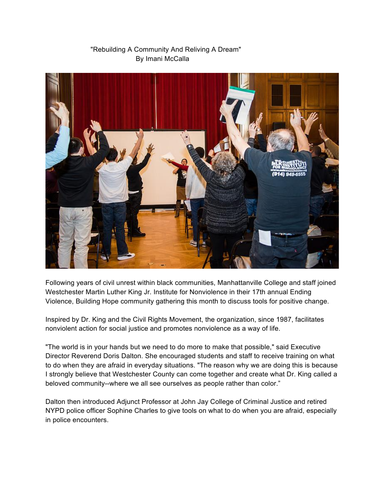

## "Rebuilding A Community And Reliving A Dream" By Imani McCalla

Following years of civil unrest within black communities, Manhattanville College and staff joined Westchester Martin Luther King Jr. Institute for Nonviolence in their 17th annual Ending Violence, Building Hope community gathering this month to discuss tools for positive change.

Inspired by Dr. King and the Civil Rights Movement, the organization, since 1987, facilitates nonviolent action for social justice and promotes nonviolence as a way of life.

"The world is in your hands but we need to do more to make that possible," said Executive Director Reverend Doris Dalton. She encouraged students and staff to receive training on what to do when they are afraid in everyday situations. "The reason why we are doing this is because I strongly believe that Westchester County can come together and create what Dr. King called a beloved community--where we all see ourselves as people rather than color."

Dalton then introduced Adjunct Professor at John Jay College of Criminal Justice and retired NYPD police officer Sophine Charles to give tools on what to do when you are afraid, especially in police encounters.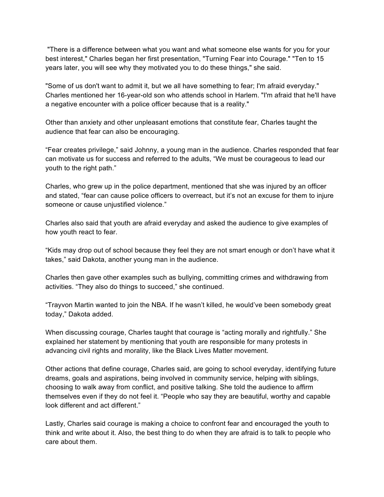"There is a difference between what you want and what someone else wants for you for your best interest," Charles began her first presentation, "Turning Fear into Courage." "Ten to 15 years later, you will see why they motivated you to do these things," she said.

"Some of us don't want to admit it, but we all have something to fear; I'm afraid everyday." Charles mentioned her 16-year-old son who attends school in Harlem. "I'm afraid that he'll have a negative encounter with a police officer because that is a reality."

Other than anxiety and other unpleasant emotions that constitute fear, Charles taught the audience that fear can also be encouraging.

"Fear creates privilege," said Johnny, a young man in the audience. Charles responded that fear can motivate us for success and referred to the adults, "We must be courageous to lead our youth to the right path."

Charles, who grew up in the police department, mentioned that she was injured by an officer and stated, "fear can cause police officers to overreact, but it's not an excuse for them to injure someone or cause unjustified violence."

Charles also said that youth are afraid everyday and asked the audience to give examples of how youth react to fear.

"Kids may drop out of school because they feel they are not smart enough or don't have what it takes," said Dakota, another young man in the audience.

Charles then gave other examples such as bullying, committing crimes and withdrawing from activities. "They also do things to succeed," she continued.

"Trayvon Martin wanted to join the NBA. If he wasn't killed, he would've been somebody great today," Dakota added.

When discussing courage, Charles taught that courage is "acting morally and rightfully." She explained her statement by mentioning that youth are responsible for many protests in advancing civil rights and morality, like the Black Lives Matter movement.

Other actions that define courage, Charles said, are going to school everyday, identifying future dreams, goals and aspirations, being involved in community service, helping with siblings, choosing to walk away from conflict, and positive talking. She told the audience to affirm themselves even if they do not feel it. "People who say they are beautiful, worthy and capable look different and act different."

Lastly, Charles said courage is making a choice to confront fear and encouraged the youth to think and write about it. Also, the best thing to do when they are afraid is to talk to people who care about them.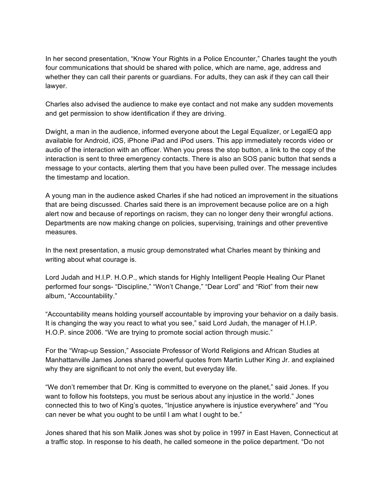In her second presentation, "Know Your Rights in a Police Encounter," Charles taught the youth four communications that should be shared with police, which are name, age, address and whether they can call their parents or guardians. For adults, they can ask if they can call their lawyer.

Charles also advised the audience to make eye contact and not make any sudden movements and get permission to show identification if they are driving.

Dwight, a man in the audience, informed everyone about the Legal Equalizer, or LegalEQ app available for Android, iOS, iPhone iPad and iPod users. This app immediately records video or audio of the interaction with an officer. When you press the stop button, a link to the copy of the interaction is sent to three emergency contacts. There is also an SOS panic button that sends a message to your contacts, alerting them that you have been pulled over. The message includes the timestamp and location.

A young man in the audience asked Charles if she had noticed an improvement in the situations that are being discussed. Charles said there is an improvement because police are on a high alert now and because of reportings on racism, they can no longer deny their wrongful actions. Departments are now making change on policies, supervising, trainings and other preventive measures.

In the next presentation, a music group demonstrated what Charles meant by thinking and writing about what courage is.

Lord Judah and H.I.P. H.O.P., which stands for Highly Intelligent People Healing Our Planet performed four songs- "Discipline," "Won't Change," "Dear Lord" and "Riot" from their new album, "Accountability."

"Accountability means holding yourself accountable by improving your behavior on a daily basis. It is changing the way you react to what you see," said Lord Judah, the manager of H.I.P. H.O.P. since 2006. "We are trying to promote social action through music."

For the "Wrap-up Session," Associate Professor of World Religions and African Studies at Manhattanville James Jones shared powerful quotes from Martin Luther King Jr. and explained why they are significant to not only the event, but everyday life.

"We don't remember that Dr. King is committed to everyone on the planet," said Jones. If you want to follow his footsteps, you must be serious about any injustice in the world." Jones connected this to two of King's quotes, "Injustice anywhere is injustice everywhere" and "You can never be what you ought to be until I am what I ought to be."

Jones shared that his son Malik Jones was shot by police in 1997 in East Haven, Connecticut at a traffic stop. In response to his death, he called someone in the police department. "Do not